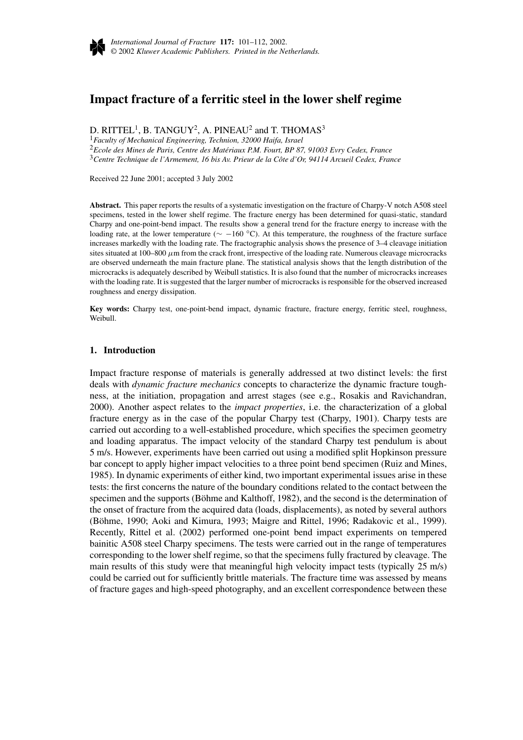

*International Journal of Fracture* **117:** 101–112, 2002. © 2002 *Kluwer Academic Publishers. Printed in the Netherlands.*

# **Impact fracture of a ferritic steel in the lower shelf regime**

D. RITTEL<sup>1</sup>, B. TANGUY<sup>2</sup>, A. PINEAU<sup>2</sup> and T. THOMAS<sup>3</sup>

<sup>1</sup>*Faculty of Mechanical Engineering, Technion, 32000 Haifa, Israel* <sup>2</sup>*Ecole des Mines de Paris, Centre des Matériaux P.M. Fourt, BP 87, 91003 Evry Cedex, France* <sup>3</sup>*Centre Technique de l'Armement, 16 bis Av. Prieur de la Côte d'Or, 94114 Arcueil Cedex, France*

Received 22 June 2001; accepted 3 July 2002

**Abstract.** This paper reports the results of a systematic investigation on the fracture of Charpy-V notch A508 steel specimens, tested in the lower shelf regime. The fracture energy has been determined for quasi-static, standard Charpy and one-point-bend impact. The results show a general trend for the fracture energy to increase with the loading rate, at the lower temperature (∼ −160 ◦C). At this temperature, the roughness of the fracture surface increases markedly with the loading rate. The fractographic analysis shows the presence of 3–4 cleavage initiation sites situated at 100–800  $\mu$ m from the crack front, irrespective of the loading rate. Numerous cleavage microcracks are observed underneath the main fracture plane. The statistical analysis shows that the length distribution of the microcracks is adequately described by Weibull statistics. It is also found that the number of microcracks increases with the loading rate. It is suggested that the larger number of microcracks is responsible for the observed increased roughness and energy dissipation.

**Key words:** Charpy test, one-point-bend impact, dynamic fracture, fracture energy, ferritic steel, roughness, Weibull.

## **1. Introduction**

Impact fracture response of materials is generally addressed at two distinct levels: the first deals with *dynamic fracture mechanics* concepts to characterize the dynamic fracture toughness, at the initiation, propagation and arrest stages (see e.g., Rosakis and Ravichandran, 2000). Another aspect relates to the *impact properties*, i.e. the characterization of a global fracture energy as in the case of the popular Charpy test (Charpy, 1901). Charpy tests are carried out according to a well-established procedure, which specifies the specimen geometry and loading apparatus. The impact velocity of the standard Charpy test pendulum is about 5 m/s. However, experiments have been carried out using a modified split Hopkinson pressure bar concept to apply higher impact velocities to a three point bend specimen (Ruiz and Mines, 1985). In dynamic experiments of either kind, two important experimental issues arise in these tests: the first concerns the nature of the boundary conditions related to the contact between the specimen and the supports (Böhme and Kalthoff, 1982), and the second is the determination of the onset of fracture from the acquired data (loads, displacements), as noted by several authors (Böhme, 1990; Aoki and Kimura, 1993; Maigre and Rittel, 1996; Radakovic et al., 1999). Recently, Rittel et al. (2002) performed one-point bend impact experiments on tempered bainitic A508 steel Charpy specimens. The tests were carried out in the range of temperatures corresponding to the lower shelf regime, so that the specimens fully fractured by cleavage. The main results of this study were that meaningful high velocity impact tests (typically 25 m/s) could be carried out for sufficiently brittle materials. The fracture time was assessed by means of fracture gages and high-speed photography, and an excellent correspondence between these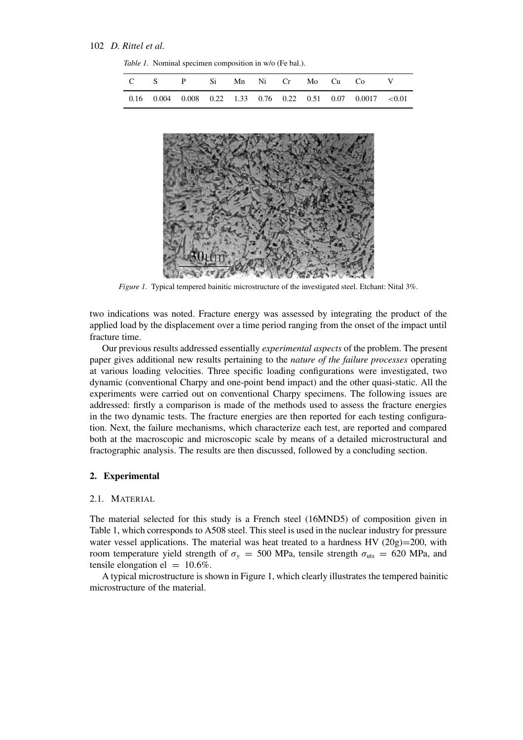*Table 1.* Nominal specimen composition in w/o (Fe bal.).

|  |  |  |  | C S P Si Mn Ni Cr Mo Cu Co V                                                         |  |
|--|--|--|--|--------------------------------------------------------------------------------------|--|
|  |  |  |  | $0.16$ $0.004$ $0.008$ $0.22$ $1.33$ $0.76$ $0.22$ $0.51$ $0.07$ $0.0017$ $\lt 0.01$ |  |



*Figure 1.* Typical tempered bainitic microstructure of the investigated steel. Etchant: Nital 3%.

two indications was noted. Fracture energy was assessed by integrating the product of the applied load by the displacement over a time period ranging from the onset of the impact until fracture time.

Our previous results addressed essentially *experimental aspects* of the problem. The present paper gives additional new results pertaining to the *nature of the failure processes* operating at various loading velocities. Three specific loading configurations were investigated, two dynamic (conventional Charpy and one-point bend impact) and the other quasi-static. All the experiments were carried out on conventional Charpy specimens. The following issues are addressed: firstly a comparison is made of the methods used to assess the fracture energies in the two dynamic tests. The fracture energies are then reported for each testing configuration. Next, the failure mechanisms, which characterize each test, are reported and compared both at the macroscopic and microscopic scale by means of a detailed microstructural and fractographic analysis. The results are then discussed, followed by a concluding section.

### **2. Experimental**

### 2.1. MATERIAL

The material selected for this study is a French steel (16MND5) of composition given in Table 1, which corresponds to A508 steel. This steel is used in the nuclear industry for pressure water vessel applications. The material was heat treated to a hardness HV  $(20g)=200$ , with room temperature yield strength of  $\sigma_y = 500$  MPa, tensile strength  $\sigma_{uts} = 620$  MPa, and tensile elongation el  $= 10.6\%$ .

A typical microstructure is shown in Figure 1, which clearly illustrates the tempered bainitic microstructure of the material.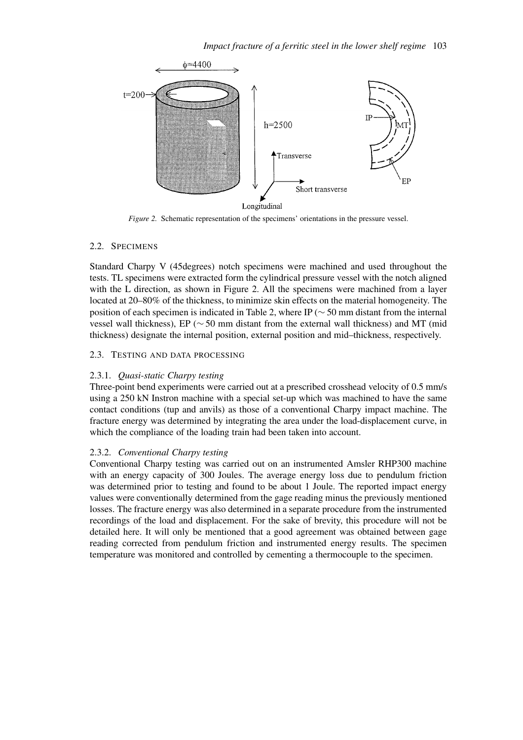

*Figure 2.* Schematic representation of the specimens' orientations in the pressure vessel.

## 2.2. SPECIMENS

Standard Charpy V (45degrees) notch specimens were machined and used throughout the tests. TL specimens were extracted form the cylindrical pressure vessel with the notch aligned with the L direction, as shown in Figure 2. All the specimens were machined from a layer located at 20–80% of the thickness, to minimize skin effects on the material homogeneity. The position of each specimen is indicated in Table 2, where IP (∼ 50 mm distant from the internal vessel wall thickness), EP (∼ 50 mm distant from the external wall thickness) and MT (mid thickness) designate the internal position, external position and mid–thickness, respectively.

## 2.3. TESTING AND DATA PROCESSING

## 2.3.1. *Quasi-static Charpy testing*

Three-point bend experiments were carried out at a prescribed crosshead velocity of 0.5 mm/s using a 250 kN Instron machine with a special set-up which was machined to have the same contact conditions (tup and anvils) as those of a conventional Charpy impact machine. The fracture energy was determined by integrating the area under the load-displacement curve, in which the compliance of the loading train had been taken into account.

## 2.3.2. *Conventional Charpy testing*

Conventional Charpy testing was carried out on an instrumented Amsler RHP300 machine with an energy capacity of 300 Joules. The average energy loss due to pendulum friction was determined prior to testing and found to be about 1 Joule. The reported impact energy values were conventionally determined from the gage reading minus the previously mentioned losses. The fracture energy was also determined in a separate procedure from the instrumented recordings of the load and displacement. For the sake of brevity, this procedure will not be detailed here. It will only be mentioned that a good agreement was obtained between gage reading corrected from pendulum friction and instrumented energy results. The specimen temperature was monitored and controlled by cementing a thermocouple to the specimen.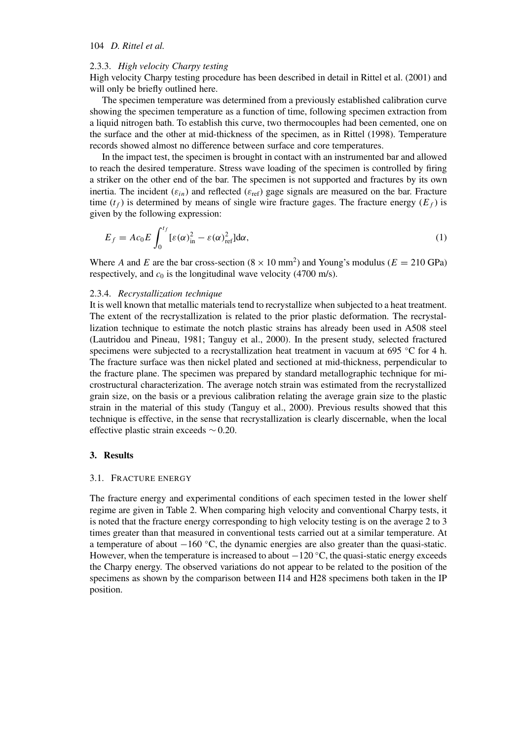## 2.3.3. *High velocity Charpy testing*

High velocity Charpy testing procedure has been described in detail in Rittel et al. (2001) and will only be briefly outlined here.

The specimen temperature was determined from a previously established calibration curve showing the specimen temperature as a function of time, following specimen extraction from a liquid nitrogen bath. To establish this curve, two thermocouples had been cemented, one on the surface and the other at mid-thickness of the specimen, as in Rittel (1998). Temperature records showed almost no difference between surface and core temperatures.

In the impact test, the specimen is brought in contact with an instrumented bar and allowed to reach the desired temperature. Stress wave loading of the specimen is controlled by firing a striker on the other end of the bar. The specimen is not supported and fractures by its own inertia. The incident  $(\varepsilon_{in})$  and reflected  $(\varepsilon_{ref})$  gage signals are measured on the bar. Fracture time  $(t_f)$  is determined by means of single wire fracture gages. The fracture energy  $(E_f)$  is given by the following expression:

$$
E_f = Ac_0 E \int_0^{t_f} [\varepsilon(\alpha)_{\text{in}}^2 - \varepsilon(\alpha)_{\text{ref}}^2] d\alpha,
$$
 (1)

Where *A* and *E* are the bar cross-section  $(8 \times 10 \text{ mm}^2)$  and Young's modulus ( $E = 210 \text{ GPa}$ ) respectively, and  $c_0$  is the longitudinal wave velocity (4700 m/s).

## 2.3.4. *Recrystallization technique*

It is well known that metallic materials tend to recrystallize when subjected to a heat treatment. The extent of the recrystallization is related to the prior plastic deformation. The recrystallization technique to estimate the notch plastic strains has already been used in A508 steel (Lautridou and Pineau, 1981; Tanguy et al., 2000). In the present study, selected fractured specimens were subjected to a recrystallization heat treatment in vacuum at 695 °C for 4 h. The fracture surface was then nickel plated and sectioned at mid-thickness, perpendicular to the fracture plane. The specimen was prepared by standard metallographic technique for microstructural characterization. The average notch strain was estimated from the recrystallized grain size, on the basis or a previous calibration relating the average grain size to the plastic strain in the material of this study (Tanguy et al., 2000). Previous results showed that this technique is effective, in the sense that recrystallization is clearly discernable, when the local effective plastic strain exceeds ∼ 0.20.

## **3. Results**

#### 3.1. FRACTURE ENERGY

The fracture energy and experimental conditions of each specimen tested in the lower shelf regime are given in Table 2. When comparing high velocity and conventional Charpy tests, it is noted that the fracture energy corresponding to high velocity testing is on the average 2 to 3 times greater than that measured in conventional tests carried out at a similar temperature. At a temperature of about −160 ◦C, the dynamic energies are also greater than the quasi-static. However, when the temperature is increased to about  $-120$  °C, the quasi-static energy exceeds the Charpy energy. The observed variations do not appear to be related to the position of the specimens as shown by the comparison between I14 and H28 specimens both taken in the IP position.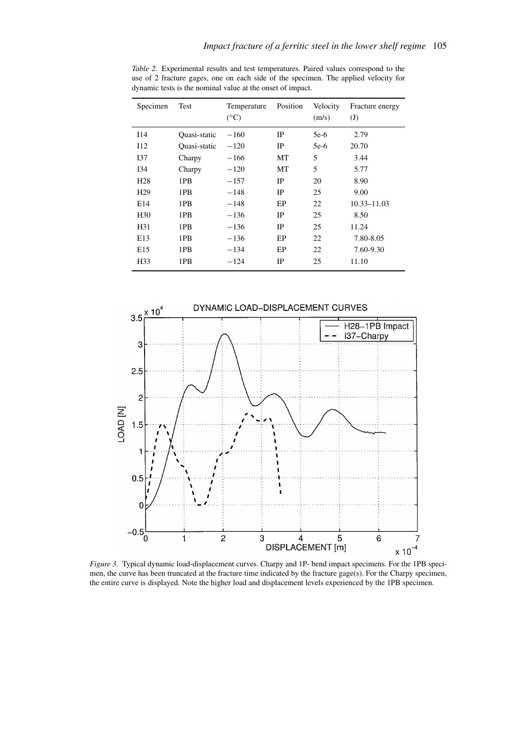| Specimen        | Test         | Temperature<br>$(^{\circ}C)$ | Position | Velocity<br>(m/s) | Fracture energy<br>$\textcircled{\scriptsize{I}}$ |
|-----------------|--------------|------------------------------|----------|-------------------|---------------------------------------------------|
| I14             | Quasi-static | $-160$                       | IP       | $5e-6$            | 2.79                                              |
| 112             | Quasi-static | $-120$                       | IP       | $5e-6$            | 20.70                                             |
| I37             | Charpy       | $-166$                       | MT       | 5                 | 3.44                                              |
| I34             | Charpy       | $-120$                       | MT       | 5                 | 5.77                                              |
| H <sub>28</sub> | 1PB          | $-157$                       | IP       | 20                | 8.90                                              |
| H <sub>29</sub> | 1PB          | $-148$                       | IP       | 25                | 9.00                                              |
| E14             | 1PB          | $-148$                       | EP       | 22                | 10.33-11.03                                       |
| H <sub>30</sub> | 1PB          | $-136$                       | IP       | 25                | 8.50                                              |
| H31             | 1PB          | $-136$                       | IP       | 25                | 11.24                                             |
| E13             | 1PB          | $-136$                       | EP       | 22                | 7.80-8.05                                         |
| E <sub>15</sub> | 1PB          | $-134$                       | EP       | 22                | 7.60-9.30                                         |
| H <sub>33</sub> | 1PB          | $-124$                       | IP       | 25                | 11.10                                             |

*Table 2.* Experimental results and test temperatures. Paired values correspond to the use of 2 fracture gages, one on each side of the specimen. The applied velocity for dynamic tests is the nominal value at the onset of impact.



*Figure 3.* Typical dynamic load-displacement curves. Charpy and 1P- bend impact specimens. For the 1PB specimen, the curve has been truncated at the fracture time indicated by the fracture gage(s). For the Charpy specimen, the entire curve is displayed. Note the higher load and displacement levels experienced by the 1PB specimen.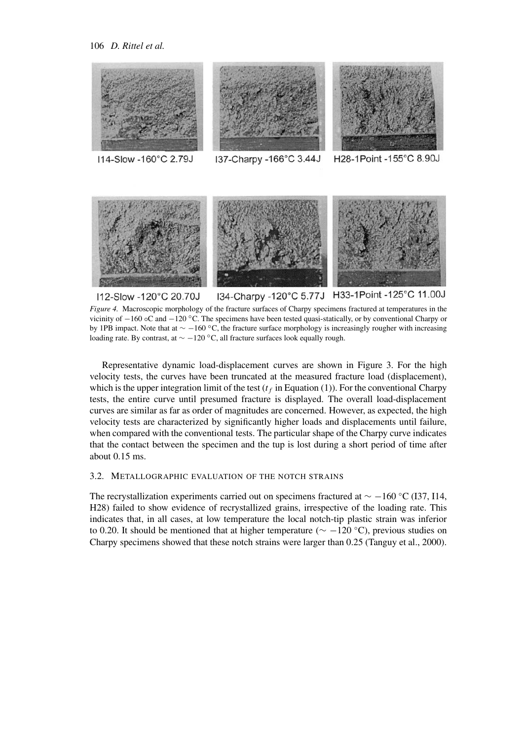

114-Slow -160°C 2.79J

137-Charpy -166°C 3.44J

H28-1Point -155°C 8.90J



134-Charpy -120°C 5.77J H33-1Point -125°C 11.00J 112-Slow -120°C 20.70J *Figure 4.* Macroscopic morphology of the fracture surfaces of Charpy specimens fractured at temperatures in the vicinity of −160 ◦C and −120 ◦C. The specimens have been tested quasi-statically, or by conventional Charpy or by 1PB impact. Note that at ∼ −160 ◦C, the fracture surface morphology is increasingly rougher with increasing loading rate. By contrast, at ∼ −120 ◦C, all fracture surfaces look equally rough.

Representative dynamic load-displacement curves are shown in Figure 3. For the high velocity tests, the curves have been truncated at the measured fracture load (displacement), which is the upper integration limit of the test  $(t_f$  in Equation (1)). For the conventional Charpy tests, the entire curve until presumed fracture is displayed. The overall load-displacement curves are similar as far as order of magnitudes are concerned. However, as expected, the high velocity tests are characterized by significantly higher loads and displacements until failure, when compared with the conventional tests. The particular shape of the Charpy curve indicates that the contact between the specimen and the tup is lost during a short period of time after about 0.15 ms.

### 3.2. METALLOGRAPHIC EVALUATION OF THE NOTCH STRAINS

The recrystallization experiments carried out on specimens fractured at  $\sim$  −160 °C (I37, I14, H28) failed to show evidence of recrystallized grains, irrespective of the loading rate. This indicates that, in all cases, at low temperature the local notch-tip plastic strain was inferior to 0.20. It should be mentioned that at higher temperature ( $\sim -120$  °C), previous studies on Charpy specimens showed that these notch strains were larger than 0.25 (Tanguy et al., 2000).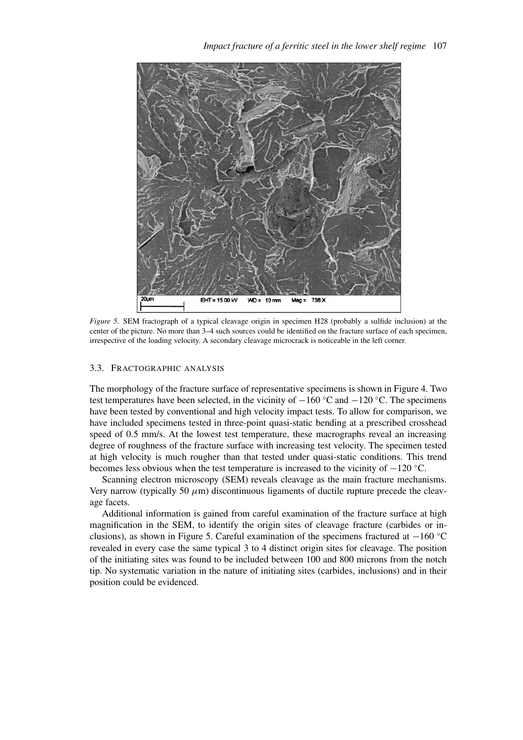

*Figure 5.* SEM fractograph of a typical cleavage origin in specimen H28 (probably a sulfide inclusion) at the center of the picture. No more than 3–4 such sources could be identified on the fracture surface of each specimen, irrespective of the loading velocity. A secondary cleavage microcrack is noticeable in the left corner.

#### 3.3. FRACTOGRAPHIC ANALYSIS

The morphology of the fracture surface of representative specimens is shown in Figure 4. Two test temperatures have been selected, in the vicinity of  $-160$  °C and  $-120$  °C. The specimens have been tested by conventional and high velocity impact tests. To allow for comparison, we have included specimens tested in three-point quasi-static bending at a prescribed crosshead speed of 0.5 mm/s. At the lowest test temperature, these macrographs reveal an increasing degree of roughness of the fracture surface with increasing test velocity. The specimen tested at high velocity is much rougher than that tested under quasi-static conditions. This trend becomes less obvious when the test temperature is increased to the vicinity of  $-120$  °C.

Scanning electron microscopy (SEM) reveals cleavage as the main fracture mechanisms. Very narrow (typically 50  $\mu$ m) discontinuous ligaments of ductile rupture precede the cleavage facets.

Additional information is gained from careful examination of the fracture surface at high magnification in the SEM, to identify the origin sites of cleavage fracture (carbides or inclusions), as shown in Figure 5. Careful examination of the specimens fractured at  $-160$  °C revealed in every case the same typical 3 to 4 distinct origin sites for cleavage. The position of the initiating sites was found to be included between 100 and 800 microns from the notch tip. No systematic variation in the nature of initiating sites (carbides, inclusions) and in their position could be evidenced.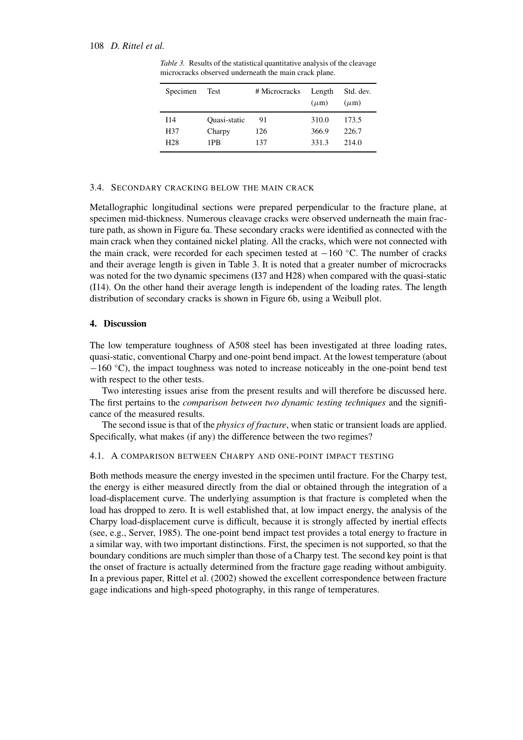| Specimen        | <b>Test</b>  | # Microcracks | Length<br>$(\mu m)$ | Std. dev.<br>$(\mu m)$ |
|-----------------|--------------|---------------|---------------------|------------------------|
| I14             | Quasi-static | 91            | 310.0               | 173.5                  |
| H <sub>37</sub> | Charpy       | 126           | 366.9               | 226.7                  |
| H <sub>28</sub> | 1PB          | 137           | 331.3               | 214.0                  |

*Table 3.* Results of the statistical quantitative analysis of the cleavage microcracks observed underneath the main crack plane.

## 3.4. SECONDARY CRACKING BELOW THE MAIN CRACK

Metallographic longitudinal sections were prepared perpendicular to the fracture plane, at specimen mid-thickness. Numerous cleavage cracks were observed underneath the main fracture path, as shown in Figure 6a. These secondary cracks were identified as connected with the main crack when they contained nickel plating. All the cracks, which were not connected with the main crack, were recorded for each specimen tested at  $-160$  °C. The number of cracks and their average length is given in Table 3. It is noted that a greater number of microcracks was noted for the two dynamic specimens (I37 and H28) when compared with the quasi-static (I14). On the other hand their average length is independent of the loading rates. The length distribution of secondary cracks is shown in Figure 6b, using a Weibull plot.

## **4. Discussion**

The low temperature toughness of A508 steel has been investigated at three loading rates, quasi-static, conventional Charpy and one-point bend impact. At the lowest temperature (about −160 °C), the impact toughness was noted to increase noticeably in the one-point bend test with respect to the other tests.

Two interesting issues arise from the present results and will therefore be discussed here. The first pertains to the *comparison between two dynamic testing techniques* and the significance of the measured results.

The second issue is that of the *physics of fracture*, when static or transient loads are applied. Specifically, what makes (if any) the difference between the two regimes?

## 4.1. A COMPARISON BETWEEN CHARPY AND ONE-POINT IMPACT TESTING

Both methods measure the energy invested in the specimen until fracture. For the Charpy test, the energy is either measured directly from the dial or obtained through the integration of a load-displacement curve. The underlying assumption is that fracture is completed when the load has dropped to zero. It is well established that, at low impact energy, the analysis of the Charpy load-displacement curve is difficult, because it is strongly affected by inertial effects (see, e.g., Server, 1985). The one-point bend impact test provides a total energy to fracture in a similar way, with two important distinctions. First, the specimen is not supported, so that the boundary conditions are much simpler than those of a Charpy test. The second key point is that the onset of fracture is actually determined from the fracture gage reading without ambiguity. In a previous paper, Rittel et al. (2002) showed the excellent correspondence between fracture gage indications and high-speed photography, in this range of temperatures.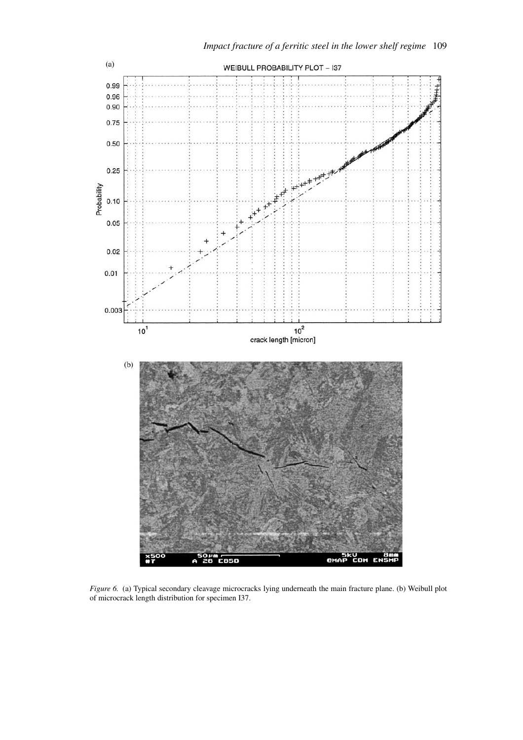

*Figure 6.* (a) Typical secondary cleavage microcracks lying underneath the main fracture plane. (b) Weibull plot of microcrack length distribution for specimen I37.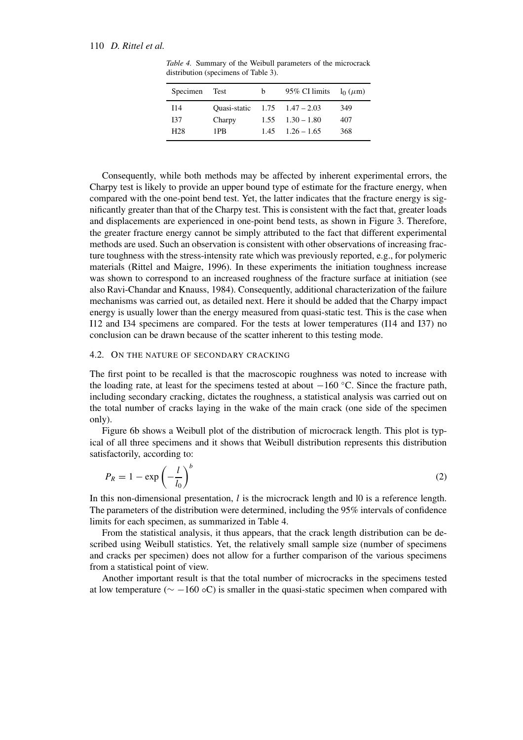*Table 4.* Summary of the Weibull parameters of the microcrack distribution (specimens of Table 3).

| Specimen Test   |                                   | <sub>b</sub> | 95% CI limits $l_0(\mu m)$ |     |
|-----------------|-----------------------------------|--------------|----------------------------|-----|
| I14             | Quasi-static $1.75$ $1.47 - 2.03$ |              |                            | 349 |
| I37             | Charpy                            |              | $1.55 \t1.30 - 1.80$       | 407 |
| H <sub>28</sub> | 1PB                               |              | $1.45$ $1.26 - 1.65$       | 368 |
|                 |                                   |              |                            |     |

Consequently, while both methods may be affected by inherent experimental errors, the Charpy test is likely to provide an upper bound type of estimate for the fracture energy, when compared with the one-point bend test. Yet, the latter indicates that the fracture energy is significantly greater than that of the Charpy test. This is consistent with the fact that, greater loads and displacements are experienced in one-point bend tests, as shown in Figure 3. Therefore, the greater fracture energy cannot be simply attributed to the fact that different experimental methods are used. Such an observation is consistent with other observations of increasing fracture toughness with the stress-intensity rate which was previously reported, e.g., for polymeric materials (Rittel and Maigre, 1996). In these experiments the initiation toughness increase was shown to correspond to an increased roughness of the fracture surface at initiation (see also Ravi-Chandar and Knauss, 1984). Consequently, additional characterization of the failure mechanisms was carried out, as detailed next. Here it should be added that the Charpy impact energy is usually lower than the energy measured from quasi-static test. This is the case when I12 and I34 specimens are compared. For the tests at lower temperatures (I14 and I37) no conclusion can be drawn because of the scatter inherent to this testing mode.

#### 4.2. ON THE NATURE OF SECONDARY CRACKING

The first point to be recalled is that the macroscopic roughness was noted to increase with the loading rate, at least for the specimens tested at about −160 ◦C. Since the fracture path, including secondary cracking, dictates the roughness, a statistical analysis was carried out on the total number of cracks laying in the wake of the main crack (one side of the specimen only).

Figure 6b shows a Weibull plot of the distribution of microcrack length. This plot is typical of all three specimens and it shows that Weibull distribution represents this distribution satisfactorily, according to:

$$
P_R = 1 - \exp\left(-\frac{l}{l_0}\right)^b \tag{2}
$$

In this non-dimensional presentation, *l* is the microcrack length and 10 is a reference length. The parameters of the distribution were determined, including the 95% intervals of confidence limits for each specimen, as summarized in Table 4.

From the statistical analysis, it thus appears, that the crack length distribution can be described using Weibull statistics. Yet, the relatively small sample size (number of specimens and cracks per specimen) does not allow for a further comparison of the various specimens from a statistical point of view.

Another important result is that the total number of microcracks in the specimens tested at low temperature ( $\sim -160$  ∘C) is smaller in the quasi-static specimen when compared with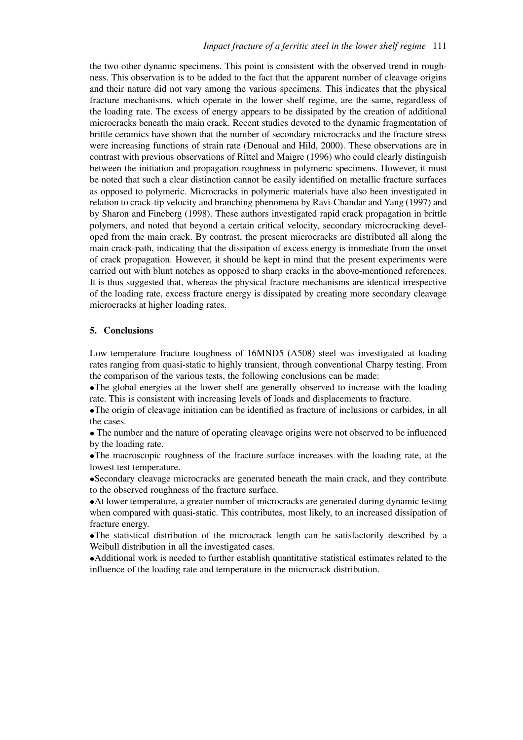the two other dynamic specimens. This point is consistent with the observed trend in roughness. This observation is to be added to the fact that the apparent number of cleavage origins and their nature did not vary among the various specimens. This indicates that the physical fracture mechanisms, which operate in the lower shelf regime, are the same, regardless of the loading rate. The excess of energy appears to be dissipated by the creation of additional microcracks beneath the main crack. Recent studies devoted to the dynamic fragmentation of brittle ceramics have shown that the number of secondary microcracks and the fracture stress were increasing functions of strain rate (Denoual and Hild, 2000). These observations are in contrast with previous observations of Rittel and Maigre (1996) who could clearly distinguish between the initiation and propagation roughness in polymeric specimens. However, it must be noted that such a clear distinction cannot be easily identified on metallic fracture surfaces as opposed to polymeric. Microcracks in polymeric materials have also been investigated in relation to crack-tip velocity and branching phenomena by Ravi-Chandar and Yang (1997) and by Sharon and Fineberg (1998). These authors investigated rapid crack propagation in brittle polymers, and noted that beyond a certain critical velocity, secondary microcracking developed from the main crack. By contrast, the present microcracks are distributed all along the main crack-path, indicating that the dissipation of excess energy is immediate from the onset of crack propagation. However, it should be kept in mind that the present experiments were carried out with blunt notches as opposed to sharp cracks in the above-mentioned references. It is thus suggested that, whereas the physical fracture mechanisms are identical irrespective of the loading rate, excess fracture energy is dissipated by creating more secondary cleavage microcracks at higher loading rates.

## **5. Conclusions**

Low temperature fracture toughness of 16MND5 (A508) steel was investigated at loading rates ranging from quasi-static to highly transient, through conventional Charpy testing. From the comparison of the various tests, the following conclusions can be made:

•The global energies at the lower shelf are generally observed to increase with the loading rate. This is consistent with increasing levels of loads and displacements to fracture.

•The origin of cleavage initiation can be identified as fracture of inclusions or carbides, in all the cases.

• The number and the nature of operating cleavage origins were not observed to be influenced by the loading rate.

•The macroscopic roughness of the fracture surface increases with the loading rate, at the lowest test temperature.

•Secondary cleavage microcracks are generated beneath the main crack, and they contribute to the observed roughness of the fracture surface.

•At lower temperature, a greater number of microcracks are generated during dynamic testing when compared with quasi-static. This contributes, most likely, to an increased dissipation of fracture energy.

•The statistical distribution of the microcrack length can be satisfactorily described by a Weibull distribution in all the investigated cases.

•Additional work is needed to further establish quantitative statistical estimates related to the influence of the loading rate and temperature in the microcrack distribution.